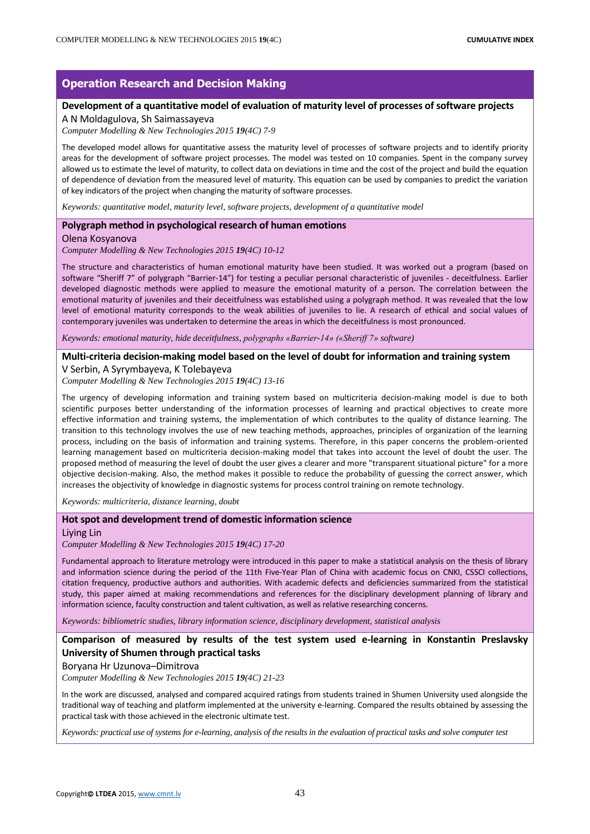# **Operation Research and Decision Making**

## **Development of a quantitative model of evaluation of maturity level of processes of software projects**

A N Moldagulova, Sh Saimassayeva

*Computer Modelling & New Technologies 2015 19(4C) 7-9*

The developed model allows for quantitative assess the maturity level of processes of software projects and to identify priority areas for the development of software project processes. The model was tested on 10 companies. Spent in the company survey allowed us to estimate the level of maturity, to collect data on deviations in time and the cost of the project and build the equation of dependence of deviation from the measured level of maturity. This equation can be used by companies to predict the variation of key indicators of the project when changing the maturity of software processes.

*Keywords: quantitative model, maturity level, software projects, development of a quantitative model*

## **Polygraph method in psychological research of human emotions**

Olena Kosyanova

*Computer Modelling & New Technologies 2015 19(4C) 10-12*

The structure and characteristics of human emotional maturity have been studied. It was worked out a program (based on software "Sheriff 7" of polygraph "Barrier-14") for testing a peculiar personal characteristic of juveniles - deceitfulness. Earlier developed diagnostic methods were applied to measure the emotional maturity of a person. The correlation between the emotional maturity of juveniles and their deceitfulness was established using a polygraph method. It was revealed that the low level of emotional maturity corresponds to the weak abilities of juveniles to lie. A research of ethical and social values of contemporary juveniles was undertaken to determine the areas in which the deceitfulness is most pronounced.

*Keywords: emotional maturity, hide deceitfulness, polygraphs «Barrier-14» («Sheriff 7» software)*

#### **Multi-criteria decision-making model based on the level of doubt for information and training system**

V Serbin, А Syrymbayeva, K Tolebayeva

*Computer Modelling & New Technologies 2015 19(4C) 13-16*

The urgency of developing information and training system based on multicriteria decision-making model is due to both scientific purposes better understanding of the information processes of learning and practical objectives to create more effective information and training systems, the implementation of which contributes to the quality of distance learning. The transition to this technology involves the use of new teaching methods, approaches, principles of organization of the learning process, including on the basis of information and training systems. Therefore, in this paper concerns the problem-oriented learning management based on multicriteria decision-making model that takes into account the level of doubt the user. The proposed method of measuring the level of doubt the user gives a clearer and more "transparent situational picture" for a more objective decision-making. Also, the method makes it possible to reduce the probability of guessing the correct answer, which increases the objectivity of knowledge in diagnostic systems for process control training on remote technology.

*Keywords: multicriteria, distance learning, doubt*

#### **Hot spot and development trend of domestic information science**

Liying Lin

*Computer Modelling & New Technologies 2015 19(4C) 17-20*

Fundamental approach to literature metrology were introduced in this paper to make a statistical analysis on the thesis of library and information science during the period of the 11th Five-Year Plan of China with academic focus on CNKI, CSSCI collections, citation frequency, productive authors and authorities. With academic defects and deficiencies summarized from the statistical study, this paper aimed at making recommendations and references for the disciplinary development planning of library and information science, faculty construction and talent cultivation, as well as relative researching concerns.

*Keywords: bibliometric studies, library information science, disciplinary development, statistical analysis*

## **Comparison of measured by results of the test system used e-learning in Konstantin Preslavsky University of Shumen through practical tasks**

Boryana Hr Uzunova–Dimitrova

*Computer Modelling & New Technologies 2015 19(4C) 21-23*

In the work are discussed, analysed and compared acquired ratings from students trained in Shumen University used alongside the traditional way of teaching and platform implemented at the university e-learning. Compared the results obtained by assessing the practical task with those achieved in the electronic ultimate test.

*Keywords: practical use of systems for e-learning, analysis of the results in the evaluation of practical tasks and solve computer test*